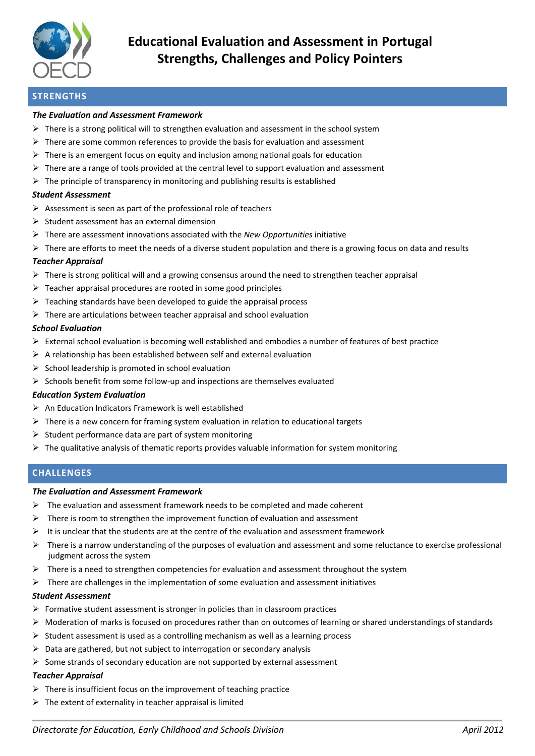

# **STRENGTHS**

#### *The Evaluation and Assessment Framework*

- $\triangleright$  There is a strong political will to strengthen evaluation and assessment in the school system
- $\triangleright$  There are some common references to provide the basis for evaluation and assessment
- $\triangleright$  There is an emergent focus on equity and inclusion among national goals for education
- $\triangleright$  There are a range of tools provided at the central level to support evaluation and assessment
- $\triangleright$  The principle of transparency in monitoring and publishing results is established

#### *Student Assessment*

- $\triangleright$  Assessment is seen as part of the professional role of teachers
- $\triangleright$  Student assessment has an external dimension
- There are assessment innovations associated with the *New Opportunities* initiative
- $\triangleright$  There are efforts to meet the needs of a diverse student population and there is a growing focus on data and results

## *Teacher Appraisal*

- $\triangleright$  There is strong political will and a growing consensus around the need to strengthen teacher appraisal
- $\triangleright$  Teacher appraisal procedures are rooted in some good principles
- $\triangleright$  Teaching standards have been developed to guide the appraisal process
- $\triangleright$  There are articulations between teacher appraisal and school evaluation

#### *School Evaluation*

- $\triangleright$  External school evaluation is becoming well established and embodies a number of features of best practice
- $\triangleright$  A relationship has been established between self and external evaluation
- $\triangleright$  School leadership is promoted in school evaluation
- $\triangleright$  Schools benefit from some follow-up and inspections are themselves evaluated

## *Education System Evaluation*

- $\triangleright$  An Education Indicators Framework is well established
- $\triangleright$  There is a new concern for framing system evaluation in relation to educational targets
- $\triangleright$  Student performance data are part of system monitoring
- $\triangleright$  The qualitative analysis of thematic reports provides valuable information for system monitoring

# **CHALLENGES**

#### *The Evaluation and Assessment Framework*

- $\triangleright$  The evaluation and assessment framework needs to be completed and made coherent
- $\triangleright$  There is room to strengthen the improvement function of evaluation and assessment
- $\triangleright$  It is unclear that the students are at the centre of the evaluation and assessment framework
- $\triangleright$  There is a narrow understanding of the purposes of evaluation and assessment and some reluctance to exercise professional judgment across the system
- $\triangleright$  There is a need to strengthen competencies for evaluation and assessment throughout the system
- $\triangleright$  There are challenges in the implementation of some evaluation and assessment initiatives

## *Student Assessment*

- $\triangleright$  Formative student assessment is stronger in policies than in classroom practices
- $\triangleright$  Moderation of marks is focused on procedures rather than on outcomes of learning or shared understandings of standards
- $\triangleright$  Student assessment is used as a controlling mechanism as well as a learning process
- $\triangleright$  Data are gathered, but not subject to interrogation or secondary analysis
- $\triangleright$  Some strands of secondary education are not supported by external assessment

## *Teacher Appraisal*

- $\triangleright$  There is insufficient focus on the improvement of teaching practice
- $\triangleright$  The extent of externality in teacher appraisal is limited